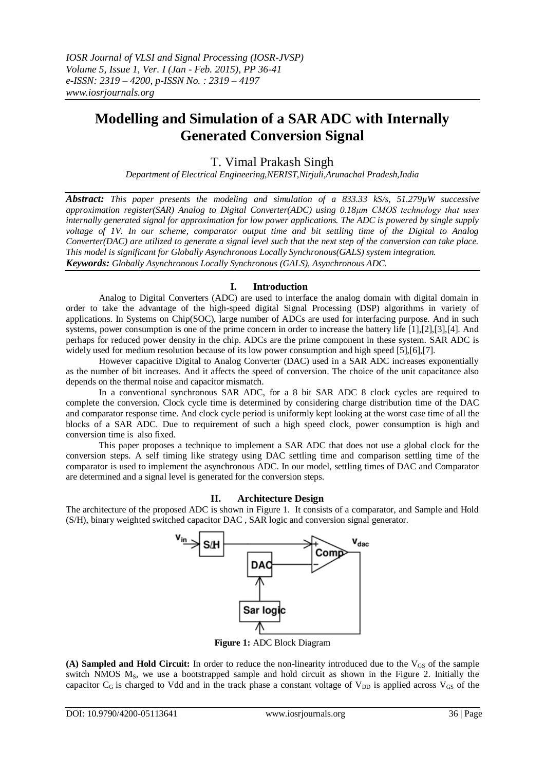# **Modelling and Simulation of a SAR ADC with Internally Generated Conversion Signal**

## T. Vimal Prakash Singh

*Department of Electrical Engineering,NERIST,Nirjuli,Arunachal Pradesh,India*

*Abstract: This paper presents the modeling and simulation of a 833.33 kS/s, 51.279µW successive approximation register(SAR) Analog to Digital Converter(ADC) using 0.18μm CMOS technology that uses internally generated signal for approximation for low power applications. The ADC is powered by single supply voltage of 1V. In our scheme, comparator output time and bit settling time of the Digital to Analog Converter(DAC) are utilized to generate a signal level such that the next step of the conversion can take place. This model is significant for Globally Asynchronous Locally Synchronous(GALS) system integration. Keywords: Globally Asynchronous Locally Synchronous (GALS), Asynchronous ADC.*

### **I. Introduction**

Analog to Digital Converters (ADC) are used to interface the analog domain with digital domain in order to take the advantage of the high-speed digital Signal Processing (DSP) algorithms in variety of applications. In Systems on Chip(SOC), large number of ADCs are used for interfacing purpose. And in such systems, power consumption is one of the prime concern in order to increase the battery life [1],[2],[3],[4]. And perhaps for reduced power density in the chip. ADCs are the prime component in these system. SAR ADC is widely used for medium resolution because of its low power consumption and high speed [5], [6], [7].

However capacitive Digital to Analog Converter (DAC) used in a SAR ADC increases exponentially as the number of bit increases. And it affects the speed of conversion. The choice of the unit capacitance also depends on the thermal noise and capacitor mismatch.

In a conventional synchronous SAR ADC, for a 8 bit SAR ADC 8 clock cycles are required to complete the conversion. Clock cycle time is determined by considering charge distribution time of the DAC and comparator response time. And clock cycle period is uniformly kept looking at the worst case time of all the blocks of a SAR ADC. Due to requirement of such a high speed clock, power consumption is high and conversion time is also fixed.

This paper proposes a technique to implement a SAR ADC that does not use a global clock for the conversion steps. A self timing like strategy using DAC settling time and comparison settling time of the comparator is used to implement the asynchronous ADC. In our model, settling times of DAC and Comparator are determined and a signal level is generated for the conversion steps.

### **II. Architecture Design**

The architecture of the proposed ADC is shown in Figure 1. It consists of a comparator, and Sample and Hold (S/H), binary weighted switched capacitor DAC , SAR logic and conversion signal generator.



**Figure 1:** ADC Block Diagram

**(A) Sampled and Hold Circuit:** In order to reduce the non-linearity introduced due to the  $V_{GS}$  of the sample switch NMOS M<sub>S</sub>, we use a bootstrapped sample and hold circuit as shown in the Figure 2. Initially the capacitor  $C_G$  is charged to Vdd and in the track phase a constant voltage of  $V_{DD}$  is applied across  $V_{GS}$  of the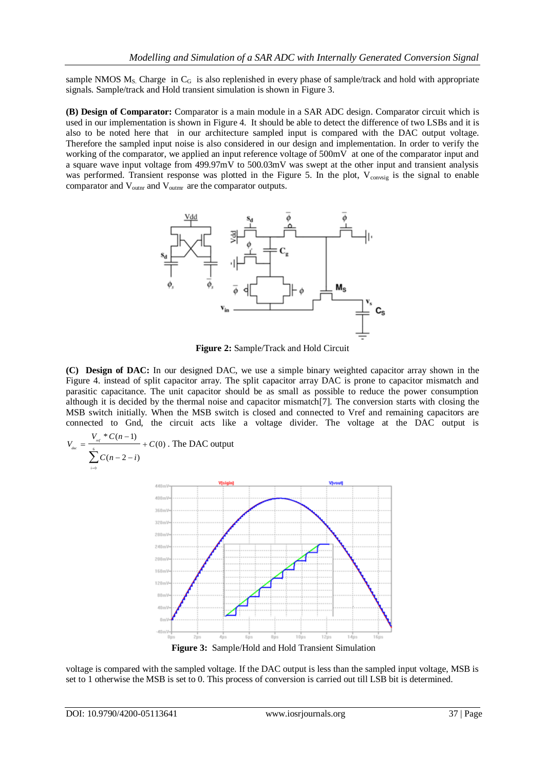sample NMOS  $M_S$ . Charge in C<sub>G</sub> is also replenished in every phase of sample/track and hold with appropriate signals. Sample/track and Hold transient simulation is shown in Figure 3.

**(B) Design of Comparator:** Comparator is a main module in a SAR ADC design. Comparator circuit which is used in our implementation is shown in Figure 4. It should be able to detect the difference of two LSBs and it is also to be noted here that in our architecture sampled input is compared with the DAC output voltage. Therefore the sampled input noise is also considered in our design and implementation. In order to verify the working of the comparator, we applied an input reference voltage of 500mV at one of the comparator input and a square wave input voltage from 499.97mV to 500.03mV was swept at the other input and transient analysis was performed. Transient response was plotted in the Figure 5. In the plot, V<sub>convsig</sub> is the signal to enable comparator and  $V_{\text{outnr}}$  and  $V_{\text{outmr}}$  are the comparator outputs.



**Figure 2:** Sample/Track and Hold Circuit

**(C) Design of DAC:** In our designed DAC, we use a simple binary weighted capacitor array shown in the Figure 4. instead of split capacitor array. The split capacitor array DAC is prone to capacitor mismatch and parasitic capacitance. The unit capacitor should be as small as possible to reduce the power consumption although it is decided by the thermal noise and capacitor mismatch[7]. The conversion starts with closing the MSB switch initially. When the MSB switch is closed and connected to Vref and remaining capacitors are connected to Gnd, the circuit acts like a voltage divider. The voltage at the DAC output is

$$
V_{\text{dec}} = \frac{V_{\text{ref}} * C(n-1)}{\sum_{i=0}^{6} C(n-2-i)}
$$
 + C(0). The DAC output  
\n
$$
V_{\text{deigmin}}
$$
  
\n
$$
V_{\text{deigmin}}
$$
  
\n
$$
V_{\text{deigmin}}
$$
  
\n
$$
V_{\text{deigmin}}
$$
  
\n
$$
V_{\text{deigmin}}
$$
  
\n
$$
V_{\text{deigmin}}
$$
  
\n
$$
V_{\text{deigmin}}
$$
  
\n
$$
V_{\text{deigmin}}
$$
  
\n
$$
V_{\text{deigmin}}
$$
  
\n
$$
V_{\text{deigmin}}
$$
  
\n
$$
V_{\text{deigmin}}
$$
  
\n
$$
V_{\text{deigmin}}
$$
  
\n
$$
V_{\text{deigmin}}
$$
  
\n
$$
V_{\text{deigmin}}
$$
  
\n
$$
V_{\text{deigmin}}
$$
  
\n
$$
V_{\text{deigmin}}
$$
  
\n
$$
V_{\text{deigmin}}
$$
  
\n
$$
V_{\text{deigmin}}
$$
  
\n
$$
V_{\text{deigmin}}
$$
  
\n
$$
V_{\text{deigmin}}
$$
  
\n
$$
V_{\text{deigmin}}
$$
  
\n
$$
V_{\text{deigmin}}
$$
  
\n
$$
V_{\text{deigmin}}
$$
  
\n
$$
V_{\text{deigmin}}
$$
  
\n
$$
V_{\text{deigmin}}
$$
  
\n
$$
V_{\text{deigmin}}
$$
  
\n
$$
V_{\text{deigmin}}
$$
  
\n
$$
V_{\text{deigmin}}
$$
  
\n
$$
V_{\text{deigmin}}
$$
  
\n
$$
V_{\text{deigmin}}
$$
  
\n
$$
V_{\text{deigmin}}
$$
  
\n
$$
V_{\text{deigmin}}
$$
  
\n
$$
V_{\text{deigmin}}
$$
  
\n
$$
V_{\text{deigmin}}
$$
  
\n
$$
V_{\text{deigmin}}
$$
  
\n

voltage is compared with the sampled voltage. If the DAC output is less than the sampled input voltage, MSB is set to 1 otherwise the MSB is set to 0. This process of conversion is carried out till LSB bit is determined.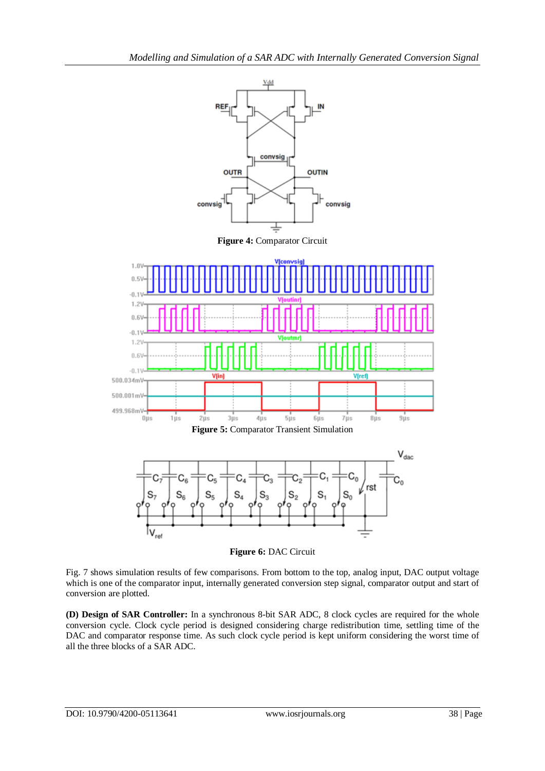

**Figure 6:** DAC Circuit

Fig. 7 shows simulation results of few comparisons. From bottom to the top, analog input, DAC output voltage which is one of the comparator input, internally generated conversion step signal, comparator output and start of conversion are plotted.

**(D) Design of SAR Controller:** In a synchronous 8-bit SAR ADC, 8 clock cycles are required for the whole conversion cycle. Clock cycle period is designed considering charge redistribution time, settling time of the DAC and comparator response time. As such clock cycle period is kept uniform considering the worst time of all the three blocks of a SAR ADC.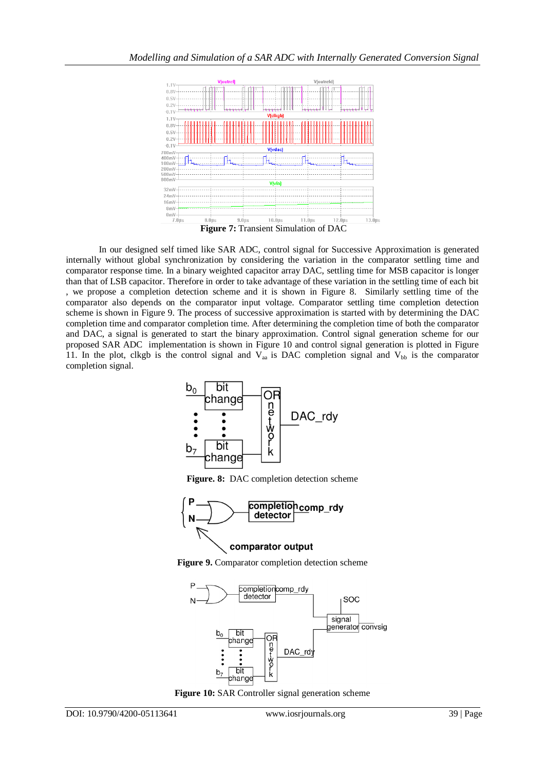

In our designed self timed like SAR ADC, control signal for Successive Approximation is generated internally without global synchronization by considering the variation in the comparator settling time and comparator response time. In a binary weighted capacitor array DAC, settling time for MSB capacitor is longer than that of LSB capacitor. Therefore in order to take advantage of these variation in the settling time of each bit , we propose a completion detection scheme and it is shown in Figure 8. Similarly settling time of the comparator also depends on the comparator input voltage. Comparator settling time completion detection scheme is shown in Figure 9. The process of successive approximation is started with by determining the DAC completion time and comparator completion time. After determining the completion time of both the comparator and DAC, a signal is generated to start the binary approximation. Control signal generation scheme for our proposed SAR ADC implementation is shown in Figure 10 and control signal generation is plotted in Figure 11. In the plot, clkgb is the control signal and  $V_{aa}$  is DAC completion signal and  $V_{bb}$  is the comparator completion signal.



**Figure. 8:** DAC completion detection scheme



**Figure 9.** Comparator completion detection scheme



**Figure 10:** SAR Controller signal generation scheme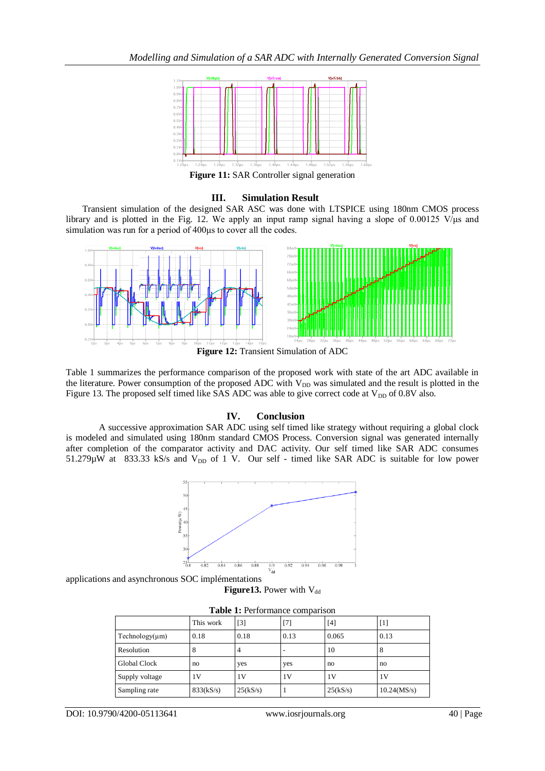

**Figure 11:** SAR Controller signal generation

#### **III. Simulation Result**

Transient simulation of the designed SAR ASC was done with LTSPICE using 180nm CMOS process library and is plotted in the Fig. 12. We apply an input ramp signal having a slope of 0.00125 V/ $\mu$ s and simulation was run for a period of 400μs to cover all the codes.



**Figure 12:** Transient Simulation of ADC

Table 1 summarizes the performance comparison of the proposed work with state of the art ADC available in the literature. Power consumption of the proposed ADC with V<sub>DD</sub> was simulated and the result is plotted in the Figure 13. The proposed self timed like SAS ADC was able to give correct code at  $V_{DD}$  of 0.8V also.

### **IV. Conclusion**

A successive approximation SAR ADC using self timed like strategy without requiring a global clock is modeled and simulated using 180nm standard CMOS Process. Conversion signal was generated internally after completion of the comparator activity and DAC activity. Our self timed like SAR ADC consumes  $51.279\mu$ W at 833.33 kS/s and  $V_{DD}$  of 1 V. Our self - timed like SAR ADC is suitable for low power



applications and asynchronous SOC implémentations **Figure 13.** Power with  $V_{dd}$ 

| <b>Table 1:</b> Performance comparison |           |          |                          |          |             |  |  |  |
|----------------------------------------|-----------|----------|--------------------------|----------|-------------|--|--|--|
|                                        | This work | $[3]$    | $[7]$                    | $[4]$    | $[1]$       |  |  |  |
| $Technology(\mu m)$                    | 0.18      | 0.18     | 0.13                     | 0.065    | 0.13        |  |  |  |
| Resolution                             | 8         | 4        | $\overline{\phantom{0}}$ | 10       | 8           |  |  |  |
| <b>Global Clock</b>                    | no        | yes      | yes                      | no       | no          |  |  |  |
| Supply voltage                         | 1V        | 1V       | 1 <sup>V</sup>           | 1V       | 1 V         |  |  |  |
| Sampling rate                          | 833(kS/s) | 25(kS/s) | л                        | 25(kS/s) | 10.24(MS/s) |  |  |  |

**Table 1:** Performance comparison